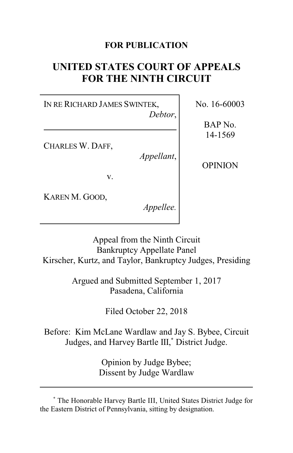# **FOR PUBLICATION**

# **UNITED STATES COURT OF APPEALS FOR THE NINTH CIRCUIT**

IN RE RICHARD JAMES SWINTEK, *Debtor*,

CHARLES W. DAFF,

*Appellant*,

v.

KAREN M. GOOD,

*Appellee.*

No. 16-60003

BAP No. 14-1569

OPINION

Appeal from the Ninth Circuit Bankruptcy Appellate Panel Kirscher, Kurtz, and Taylor, Bankruptcy Judges, Presiding

> Argued and Submitted September 1, 2017 Pasadena, California

> > Filed October 22, 2018

Before: Kim McLane Wardlaw and Jay S. Bybee, Circuit Judges, and Harvey Bartle III, **\*** District Judge.

> Opinion by Judge Bybee; Dissent by Judge Wardlaw

**<sup>\*</sup>** The Honorable Harvey Bartle III, United States District Judge for the Eastern District of Pennsylvania, sitting by designation.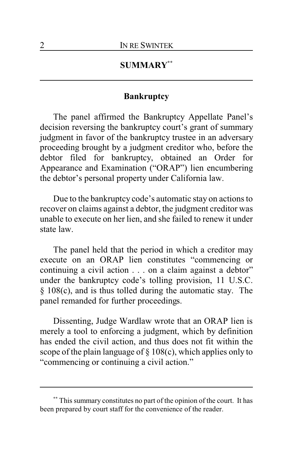# **SUMMARY\*\***

## **Bankruptcy**

The panel affirmed the Bankruptcy Appellate Panel's decision reversing the bankruptcy court's grant of summary judgment in favor of the bankruptcy trustee in an adversary proceeding brought by a judgment creditor who, before the debtor filed for bankruptcy, obtained an Order for Appearance and Examination ("ORAP") lien encumbering the debtor's personal property under California law.

Due to the bankruptcy code's automatic stay on actions to recover on claims against a debtor, the judgment creditor was unable to execute on her lien, and she failed to renew it under state law.

The panel held that the period in which a creditor may execute on an ORAP lien constitutes "commencing or continuing a civil action . . . on a claim against a debtor" under the bankruptcy code's tolling provision, 11 U.S.C. § 108(c), and is thus tolled during the automatic stay. The panel remanded for further proceedings.

Dissenting, Judge Wardlaw wrote that an ORAP lien is merely a tool to enforcing a judgment, which by definition has ended the civil action, and thus does not fit within the scope of the plain language of § 108(c), which applies only to "commencing or continuing a civil action."

**<sup>\*\*</sup>** This summary constitutes no part of the opinion of the court. It has been prepared by court staff for the convenience of the reader.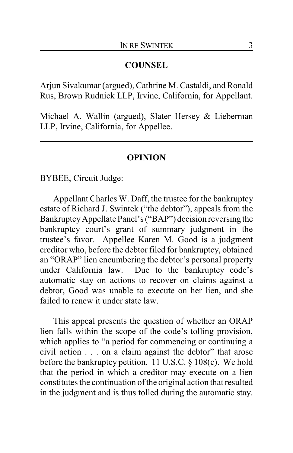## **COUNSEL**

Arjun Sivakumar (argued), Cathrine M. Castaldi, and Ronald Rus, Brown Rudnick LLP, Irvine, California, for Appellant.

Michael A. Wallin (argued), Slater Hersey & Lieberman LLP, Irvine, California, for Appellee.

#### **OPINION**

BYBEE, Circuit Judge:

Appellant Charles W. Daff, the trustee for the bankruptcy estate of Richard J. Swintek ("the debtor"), appeals from the BankruptcyAppellate Panel's ("BAP") decision reversing the bankruptcy court's grant of summary judgment in the trustee's favor. Appellee Karen M. Good is a judgment creditor who, before the debtor filed for bankruptcy, obtained an "ORAP" lien encumbering the debtor's personal property under California law. Due to the bankruptcy code's automatic stay on actions to recover on claims against a debtor, Good was unable to execute on her lien, and she failed to renew it under state law.

This appeal presents the question of whether an ORAP lien falls within the scope of the code's tolling provision, which applies to "a period for commencing or continuing a civil action . . . on a claim against the debtor" that arose before the bankruptcy petition. 11 U.S.C. § 108(c). We hold that the period in which a creditor may execute on a lien constitutes the continuation of the original action that resulted in the judgment and is thus tolled during the automatic stay.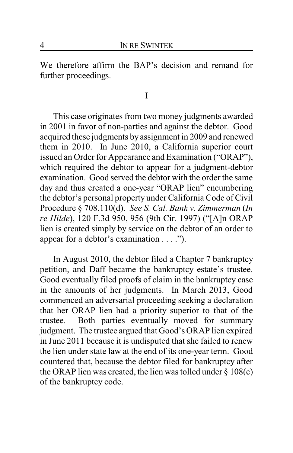We therefore affirm the BAP's decision and remand for further proceedings.

I

This case originates from two money judgments awarded in 2001 in favor of non-parties and against the debtor. Good acquired these judgments by assignment in 2009 and renewed them in 2010. In June 2010, a California superior court issued an Order for Appearance and Examination ("ORAP"), which required the debtor to appear for a judgment-debtor examination. Good served the debtor with the order the same day and thus created a one-year "ORAP lien" encumbering the debtor's personal property under California Code of Civil Procedure § 708.110(d). *See S. Cal. Bank v. Zimmerman* (*In re Hilde*), 120 F.3d 950, 956 (9th Cir. 1997) ("[A]n ORAP lien is created simply by service on the debtor of an order to appear for a debtor's examination . . . .").

In August 2010, the debtor filed a Chapter 7 bankruptcy petition, and Daff became the bankruptcy estate's trustee. Good eventually filed proofs of claim in the bankruptcy case in the amounts of her judgments. In March 2013, Good commenced an adversarial proceeding seeking a declaration that her ORAP lien had a priority superior to that of the trustee. Both parties eventually moved for summary judgment. The trustee argued that Good's ORAP lien expired in June 2011 because it is undisputed that she failed to renew the lien under state law at the end of its one-year term. Good countered that, because the debtor filed for bankruptcy after the ORAP lien was created, the lien was tolled under  $\S 108(c)$ of the bankruptcy code.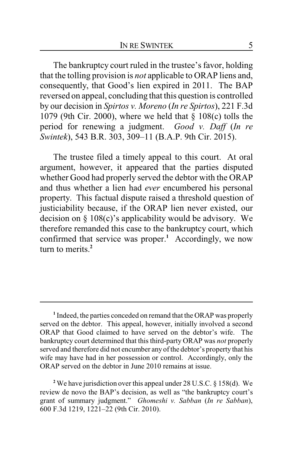The bankruptcy court ruled in the trustee's favor, holding that the tolling provision is *not* applicable to ORAP liens and, consequently, that Good's lien expired in 2011. The BAP reversed on appeal, concluding that this question is controlled by our decision in *Spirtos v. Moreno* (*In re Spirtos*), 221 F.3d 1079 (9th Cir. 2000), where we held that § 108(c) tolls the period for renewing a judgment. *Good v. Daff* (*In re Swintek*), 543 B.R. 303, 309–11 (B.A.P. 9th Cir. 2015).

The trustee filed a timely appeal to this court. At oral argument, however, it appeared that the parties disputed whether Good had properly served the debtor with the ORAP and thus whether a lien had *ever* encumbered his personal property. This factual dispute raised a threshold question of justiciability because, if the ORAP lien never existed, our decision on § 108(c)'s applicability would be advisory. We therefore remanded this case to the bankruptcy court, which confirmed that service was proper.**<sup>1</sup>** Accordingly, we now turn to merits.**<sup>2</sup>**

**<sup>1</sup>** Indeed, the parties conceded on remand that the ORAP was properly served on the debtor. This appeal, however, initially involved a second ORAP that Good claimed to have served on the debtor's wife. The bankruptcy court determined that this third-party ORAP was *not* properly served and therefore did not encumber any of the debtor's property that his wife may have had in her possession or control. Accordingly, only the ORAP served on the debtor in June 2010 remains at issue.

**<sup>2</sup>** We have jurisdiction over this appeal under 28 U.S.C. § 158(d). We review de novo the BAP's decision, as well as "the bankruptcy court's grant of summary judgment." *Ghomeshi v. Sabban* (*In re Sabban*), 600 F.3d 1219, 1221–22 (9th Cir. 2010).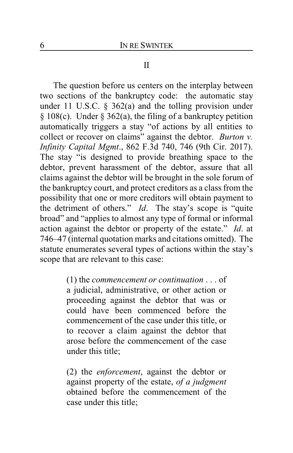### II

The question before us centers on the interplay between two sections of the bankruptcy code: the automatic stay under 11 U.S.C.  $\S$  362(a) and the tolling provision under § 108(c). Under § 362(a), the filing of a bankruptcy petition automatically triggers a stay "of actions by all entities to collect or recover on claims" against the debtor. *Burton v. Infinity Capital Mgmt*., 862 F.3d 740, 746 (9th Cir. 2017). The stay "is designed to provide breathing space to the debtor, prevent harassment of the debtor, assure that all claims against the debtor will be brought in the sole forum of the bankruptcy court, and protect creditors as a class from the possibility that one or more creditors will obtain payment to the detriment of others." *Id*. The stay's scope is "quite broad" and "applies to almost any type of formal or informal action against the debtor or property of the estate." *Id*. at 746–47 (internal quotation marks and citations omitted). The statute enumerates several types of actions within the stay's scope that are relevant to this case:

> (1) the *commencement or continuation* . . . of a judicial, administrative, or other action or proceeding against the debtor that was or could have been commenced before the commencement of the case under this title, or to recover a claim against the debtor that arose before the commencement of the case under this title;

(2) the *enforcement*, against the debtor or against property of the estate, *of a judgment* obtained before the commencement of the case under this title;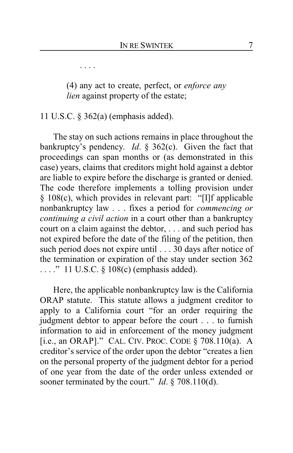. . . .

(4) any act to create, perfect, or *enforce any lien* against property of the estate;

11 U.S.C. § 362(a) (emphasis added).

The stay on such actions remains in place throughout the bankruptcy's pendency. *Id*. § 362(c). Given the fact that proceedings can span months or (as demonstrated in this case) years, claims that creditors might hold against a debtor are liable to expire before the discharge is granted or denied. The code therefore implements a tolling provision under § 108(c), which provides in relevant part: "[I]f applicable nonbankruptcy law . . . fixes a period for *commencing or continuing a civil action* in a court other than a bankruptcy court on a claim against the debtor, . . . and such period has not expired before the date of the filing of the petition, then such period does not expire until . . . 30 days after notice of the termination or expiration of the stay under section 362 . . . ." 11 U.S.C. § 108(c) (emphasis added).

Here, the applicable nonbankruptcy law is the California ORAP statute. This statute allows a judgment creditor to apply to a California court "for an order requiring the judgment debtor to appear before the court . . . to furnish information to aid in enforcement of the money judgment [i.e., an ORAP]." CAL. CIV. PROC. CODE § 708.110(a). A creditor's service of the order upon the debtor "creates a lien on the personal property of the judgment debtor for a period of one year from the date of the order unless extended or sooner terminated by the court." *Id*. § 708.110(d).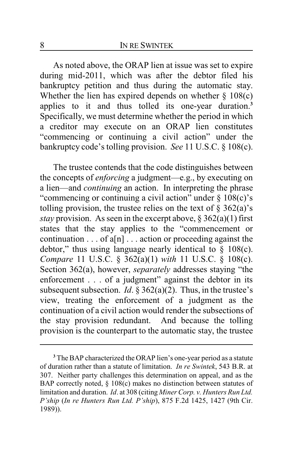As noted above, the ORAP lien at issue was set to expire during mid-2011, which was after the debtor filed his bankruptcy petition and thus during the automatic stay. Whether the lien has expired depends on whether  $\S$  108(c) applies to it and thus tolled its one-year duration.**<sup>3</sup>** Specifically, we must determine whether the period in which a creditor may execute on an ORAP lien constitutes "commencing or continuing a civil action" under the bankruptcy code's tolling provision. *See* 11 U.S.C. § 108(c).

The trustee contends that the code distinguishes between the concepts of *enforcing* a judgment—e.g., by executing on a lien—and *continuing* an action. In interpreting the phrase "commencing or continuing a civil action" under  $\S$  108(c)'s tolling provision, the trustee relies on the text of  $\S$  362(a)'s *stay* provision. As seen in the excerpt above, § 362(a)(1) first states that the stay applies to the "commencement or continuation  $\dots$  of a[n]  $\dots$  action or proceeding against the debtor," thus using language nearly identical to  $\S$  108(c). *Compare* 11 U.S.C. § 362(a)(1) *with* 11 U.S.C. § 108(c). Section 362(a), however, *separately* addresses staying "the enforcement . . . of a judgment" against the debtor in its subsequent subsection. *Id*. § 362(a)(2). Thus, in the trustee's view, treating the enforcement of a judgment as the continuation of a civil action would render the subsections of the stay provision redundant. And because the tolling provision is the counterpart to the automatic stay, the trustee

**<sup>3</sup>** The BAP characterized the ORAP lien's one-year period as a statute of duration rather than a statute of limitation. *In re Swintek*, 543 B.R. at 307. Neither party challenges this determination on appeal, and as the BAP correctly noted, § 108(c) makes no distinction between statutes of limitation and duration. *Id*. at 308 (citing *Miner Corp. v. Hunters Run Ltd. P'ship* (*In re Hunters Run Ltd. P'ship*), 875 F.2d 1425, 1427 (9th Cir. 1989)).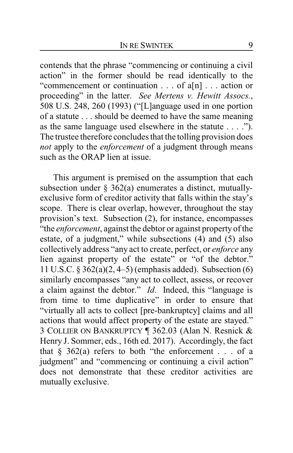contends that the phrase "commencing or continuing a civil action" in the former should be read identically to the "commencement or continuation . . . of a[n] . . . action or proceeding" in the latter. *See Mertens v. Hewitt Assocs.*, 508 U.S. 248, 260 (1993) ("[L]anguage used in one portion of a statute . . . should be deemed to have the same meaning as the same language used elsewhere in the statute . . . ."). The trustee therefore concludes that the tolling provision does *not* apply to the *enforcement* of a judgment through means such as the ORAP lien at issue.

This argument is premised on the assumption that each subsection under § 362(a) enumerates a distinct, mutuallyexclusive form of creditor activity that falls within the stay's scope. There is clear overlap, however, throughout the stay provision's text. Subsection (2), for instance, encompasses "the *enforcement*, against the debtor or against property of the estate, of a judgment," while subsections (4) and (5) also collectively address "any act to create, perfect, or *enforce* any lien against property of the estate" or "of the debtor." 11 U.S.C. § 362(a)(2, 4–5) (emphasis added). Subsection (6) similarly encompasses "any act to collect, assess, or recover a claim against the debtor." *Id*. Indeed, this "language is from time to time duplicative" in order to ensure that "virtually all acts to collect [pre-bankruptcy] claims and all actions that would affect property of the estate are stayed." 3 COLLIER ON BANKRUPTCY ¶ 362.03 (Alan N. Resnick & Henry J. Sommer, eds., 16th ed. 2017). Accordingly, the fact that  $\S$  362(a) refers to both "the enforcement . . . of a judgment" and "commencing or continuing a civil action" does not demonstrate that these creditor activities are mutually exclusive.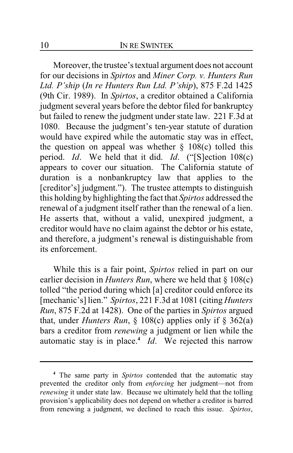Moreover, the trustee's textual argument does not account for our decisions in *Spirtos* and *Miner Corp. v. Hunters Run Ltd. P'ship* (*In re Hunters Run Ltd. P'ship*), 875 F.2d 1425 (9th Cir. 1989). In *Spirtos*, a creditor obtained a California judgment several years before the debtor filed for bankruptcy but failed to renew the judgment under state law. 221 F.3d at 1080. Because the judgment's ten-year statute of duration would have expired while the automatic stay was in effect, the question on appeal was whether  $\S$  108(c) tolled this period. *Id*. We held that it did. *Id*. ("[S]ection 108(c) appears to cover our situation. The California statute of duration is a nonbankruptcy law that applies to the [creditor's] judgment."). The trustee attempts to distinguish this holding by highlighting the fact that *Spirtos* addressed the renewal of a judgment itself rather than the renewal of a lien. He asserts that, without a valid, unexpired judgment, a creditor would have no claim against the debtor or his estate, and therefore, a judgment's renewal is distinguishable from its enforcement.

While this is a fair point, *Spirtos* relied in part on our earlier decision in *Hunters Run*, where we held that § 108(c) tolled "the period during which [a] creditor could enforce its [mechanic's] lien." *Spirtos*, 221 F.3d at 1081 (citing *Hunters Run*, 875 F.2d at 1428). One of the parties in *Spirtos* argued that, under *Hunters Run*, § 108(c) applies only if § 362(a) bars a creditor from *renewing* a judgment or lien while the automatic stay is in place.**<sup>4</sup>** *Id*. We rejected this narrow

**<sup>4</sup>** The same party in *Spirtos* contended that the automatic stay prevented the creditor only from *enforcing* her judgment—not from *renewing* it under state law. Because we ultimately held that the tolling provision's applicability does not depend on whether a creditor is barred from renewing a judgment, we declined to reach this issue. *Spirtos*,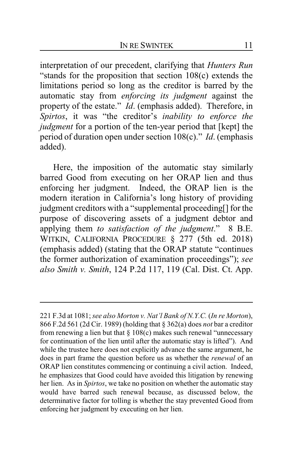interpretation of our precedent, clarifying that *Hunters Run* "stands for the proposition that section 108(c) extends the limitations period so long as the creditor is barred by the automatic stay from *enforcing its judgment* against the property of the estate." *Id*. (emphasis added). Therefore, in *Spirtos*, it was "the creditor's *inability to enforce the judgment* for a portion of the ten-year period that [kept] the period of duration open under section 108(c)." *Id*. (emphasis added).

Here, the imposition of the automatic stay similarly barred Good from executing on her ORAP lien and thus enforcing her judgment. Indeed, the ORAP lien is the modern iteration in California's long history of providing judgment creditors with a "supplemental proceeding[] for the purpose of discovering assets of a judgment debtor and applying them *to satisfaction of the judgment*." 8 B.E. WITKIN, CALIFORNIA PROCEDURE § 277 (5th ed. 2018) (emphasis added) (stating that the ORAP statute "continues the former authorization of examination proceedings"); *see also Smith v. Smith*, 124 P.2d 117, 119 (Cal. Dist. Ct. App.

<sup>221</sup> F.3d at 1081; *see also Morton v. Nat'l Bank of N.Y.C.* (*In re Morton*), 866 F.2d 561 (2d Cir. 1989) (holding that § 362(a) does *not* bar a creditor from renewing a lien but that  $\S 108(c)$  makes such renewal "unnecessary for continuation of the lien until after the automatic stay is lifted"). And while the trustee here does not explicitly advance the same argument, he does in part frame the question before us as whether the *renewal* of an ORAP lien constitutes commencing or continuing a civil action. Indeed, he emphasizes that Good could have avoided this litigation by renewing her lien. As in *Spirtos*, we take no position on whether the automatic stay would have barred such renewal because, as discussed below, the determinative factor for tolling is whether the stay prevented Good from enforcing her judgment by executing on her lien.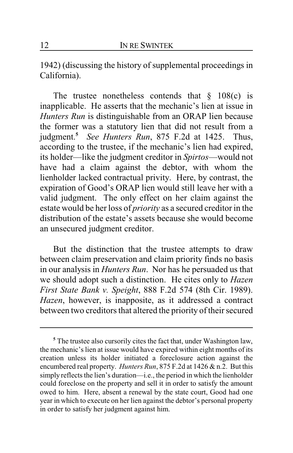1942) (discussing the history of supplemental proceedings in California).

The trustee nonetheless contends that  $\S$  108(c) is inapplicable. He asserts that the mechanic's lien at issue in *Hunters Run* is distinguishable from an ORAP lien because the former was a statutory lien that did not result from a judgment.**<sup>5</sup>** *See Hunters Run*, 875 F.2d at 1425. Thus, according to the trustee, if the mechanic's lien had expired, its holder—like the judgment creditor in *Spirtos*—would not have had a claim against the debtor, with whom the lienholder lacked contractual privity. Here, by contrast, the expiration of Good's ORAP lien would still leave her with a valid judgment. The only effect on her claim against the estate would be her loss of *priority* as a secured creditor in the distribution of the estate's assets because she would become an unsecured judgment creditor.

But the distinction that the trustee attempts to draw between claim preservation and claim priority finds no basis in our analysis in *Hunters Run*. Nor has he persuaded us that we should adopt such a distinction. He cites only to *Hazen First State Bank v. Speight*, 888 F.2d 574 (8th Cir. 1989). *Hazen*, however, is inapposite, as it addressed a contract between two creditors that altered the priority of their secured

**<sup>5</sup>** The trustee also cursorily cites the fact that, under Washington law, the mechanic's lien at issue would have expired within eight months of its creation unless its holder initiated a foreclosure action against the encumbered real property. *Hunters Run*, 875 F.2d at 1426 & n.2. But this simply reflects the lien's duration—i.e., the period in which the lienholder could foreclose on the property and sell it in order to satisfy the amount owed to him. Here, absent a renewal by the state court, Good had one year in which to execute on her lien against the debtor's personal property in order to satisfy her judgment against him.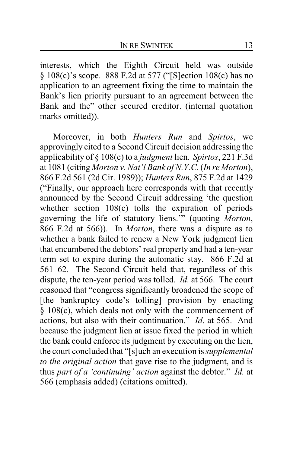interests, which the Eighth Circuit held was outside § 108(c)'s scope. 888 F.2d at 577 ("[S]ection 108(c) has no application to an agreement fixing the time to maintain the Bank's lien priority pursuant to an agreement between the Bank and the" other secured creditor. (internal quotation marks omitted)).

Moreover, in both *Hunters Run* and *Spirtos*, we approvingly cited to a Second Circuit decision addressing the applicability of § 108(c) to a *judgment* lien. *Spirtos*, 221 F.3d at 1081 (citing *Morton v. Nat'l Bank of N.Y.C.* (*In re Morton*), 866 F.2d 561 (2d Cir. 1989)); *Hunters Run*, 875 F.2d at 1429 ("Finally, our approach here corresponds with that recently announced by the Second Circuit addressing 'the question whether section 108(c) tolls the expiration of periods governing the life of statutory liens.'" (quoting *Morton*, 866 F.2d at 566)). In *Morton*, there was a dispute as to whether a bank failed to renew a New York judgment lien that encumbered the debtors' real property and had a ten-year term set to expire during the automatic stay. 866 F.2d at 561–62. The Second Circuit held that, regardless of this dispute, the ten-year period was tolled. *Id.* at 566. The court reasoned that "congress significantly broadened the scope of [the bankruptcy code's tolling] provision by enacting § 108(c), which deals not only with the commencement of actions, but also with their continuation." *Id*. at 565. And because the judgment lien at issue fixed the period in which the bank could enforce its judgment by executing on the lien, the court concluded that "[s]uch an execution is *supplemental to the original action* that gave rise to the judgment, and is thus *part of a 'continuing' action* against the debtor." *Id.* at 566 (emphasis added) (citations omitted).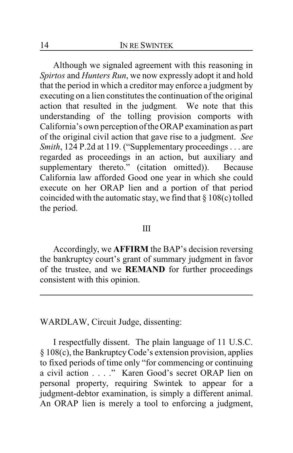Although we signaled agreement with this reasoning in *Spirtos* and *Hunters Run*, we now expressly adopt it and hold that the period in which a creditor may enforce a judgment by executing on a lien constitutes the continuation of the original action that resulted in the judgment*.* We note that this understanding of the tolling provision comports with California's own perception of the ORAP examination as part of the original civil action that gave rise to a judgment. *See Smith*, 124 P.2d at 119. ("Supplementary proceedings . . . are regarded as proceedings in an action, but auxiliary and supplementary thereto." (citation omitted)). Because California law afforded Good one year in which she could execute on her ORAP lien and a portion of that period coincided with the automatic stay, we find that § 108(c) tolled the period.

#### III

Accordingly, we **AFFIRM** the BAP's decision reversing the bankruptcy court's grant of summary judgment in favor of the trustee, and we **REMAND** for further proceedings consistent with this opinion.

WARDLAW, Circuit Judge, dissenting:

I respectfully dissent. The plain language of 11 U.S.C. § 108(c), the BankruptcyCode's extension provision, applies to fixed periods of time only "for commencing or continuing a civil action . . . ." Karen Good's secret ORAP lien on personal property, requiring Swintek to appear for a judgment-debtor examination, is simply a different animal. An ORAP lien is merely a tool to enforcing a judgment,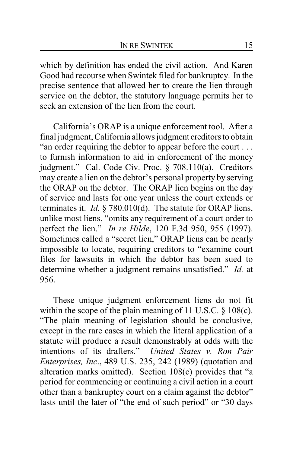which by definition has ended the civil action. And Karen Good had recourse when Swintek filed for bankruptcy. In the precise sentence that allowed her to create the lien through service on the debtor, the statutory language permits her to seek an extension of the lien from the court.

California's ORAP is a unique enforcement tool. After a final judgment, California allows judgment creditors to obtain "an order requiring the debtor to appear before the court . . . to furnish information to aid in enforcement of the money judgment." Cal. Code Civ. Proc. § 708.110(a). Creditors may create a lien on the debtor's personal property by serving the ORAP on the debtor. The ORAP lien begins on the day of service and lasts for one year unless the court extends or terminates it. *Id.* § 780.010(d). The statute for ORAP liens, unlike most liens, "omits any requirement of a court order to perfect the lien." *In re Hilde*, 120 F.3d 950, 955 (1997). Sometimes called a "secret lien," ORAP liens can be nearly impossible to locate, requiring creditors to "examine court files for lawsuits in which the debtor has been sued to determine whether a judgment remains unsatisfied." *Id.* at 956.

These unique judgment enforcement liens do not fit within the scope of the plain meaning of 11 U.S.C. § 108(c). "The plain meaning of legislation should be conclusive, except in the rare cases in which the literal application of a statute will produce a result demonstrably at odds with the intentions of its drafters." *United States v. Ron Pair Enterprises, Inc*., 489 U.S. 235, 242 (1989) (quotation and alteration marks omitted). Section 108(c) provides that "a period for commencing or continuing a civil action in a court other than a bankruptcy court on a claim against the debtor" lasts until the later of "the end of such period" or "30 days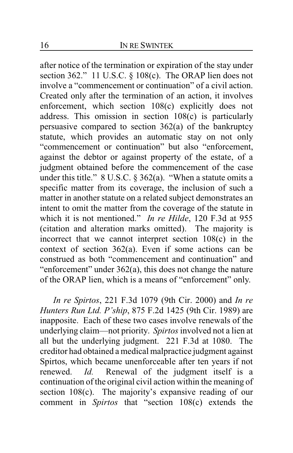after notice of the termination or expiration of the stay under section 362." 11 U.S.C. § 108(c). The ORAP lien does not involve a "commencement or continuation" of a civil action. Created only after the termination of an action, it involves enforcement, which section 108(c) explicitly does not address. This omission in section 108(c) is particularly persuasive compared to section 362(a) of the bankruptcy statute, which provides an automatic stay on not only "commencement or continuation" but also "enforcement, against the debtor or against property of the estate, of a judgment obtained before the commencement of the case under this title."  $8 \text{ U.S.C.} \$  $362(a)$ . "When a statute omits a specific matter from its coverage, the inclusion of such a matter in another statute on a related subject demonstrates an intent to omit the matter from the coverage of the statute in which it is not mentioned." *In re Hilde*, 120 F.3d at 955 (citation and alteration marks omitted). The majority is incorrect that we cannot interpret section 108(c) in the context of section 362(a). Even if some actions can be construed as both "commencement and continuation" and "enforcement" under 362(a), this does not change the nature of the ORAP lien, which is a means of "enforcement" only.

*In re Spirtos*, 221 F.3d 1079 (9th Cir. 2000) and *In re Hunters Run Ltd. P'ship*, 875 F.2d 1425 (9th Cir. 1989) are inapposite. Each of these two cases involve renewals of the underlying claim—not priority. *Spirtos* involved not a lien at all but the underlying judgment. 221 F.3d at 1080. The creditor had obtained a medical malpractice judgment against Spirtos, which became unenforceable after ten years if not renewed. *Id.* Renewal of the judgment itself is a continuation of the original civil action within the meaning of section 108(c). The majority's expansive reading of our comment in *Spirtos* that "section 108(c) extends the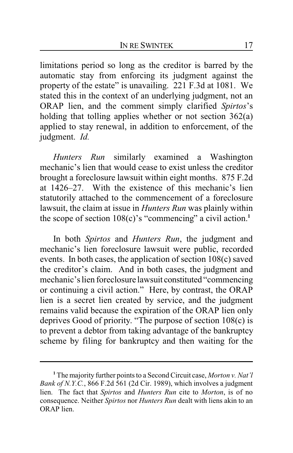limitations period so long as the creditor is barred by the automatic stay from enforcing its judgment against the property of the estate" is unavailing. 221 F.3d at 1081. We stated this in the context of an underlying judgment, not an ORAP lien, and the comment simply clarified *Spirtos*'s holding that tolling applies whether or not section 362(a) applied to stay renewal, in addition to enforcement, of the judgment. *Id.*

*Hunters Run* similarly examined a Washington mechanic's lien that would cease to exist unless the creditor brought a foreclosure lawsuit within eight months. 875 F.2d at 1426–27. With the existence of this mechanic's lien statutorily attached to the commencement of a foreclosure lawsuit, the claim at issue in *Hunters Run* was plainly within the scope of section 108(c)'s "commencing" a civil action.**<sup>1</sup>**

In both *Spirtos* and *Hunters Run*, the judgment and mechanic's lien foreclosure lawsuit were public, recorded events. In both cases, the application of section 108(c) saved the creditor's claim. And in both cases, the judgment and mechanic's lien foreclosure lawsuit constituted "commencing or continuing a civil action." Here, by contrast, the ORAP lien is a secret lien created by service, and the judgment remains valid because the expiration of the ORAP lien only deprives Good of priority. "The purpose of section 108(c) is to prevent a debtor from taking advantage of the bankruptcy scheme by filing for bankruptcy and then waiting for the

**<sup>1</sup>** The majority further points to a Second Circuit case, *Morton v. Nat'l Bank of N.Y.C.*, 866 F.2d 561 (2d Cir. 1989), which involves a judgment lien. The fact that *Spirtos* and *Hunters Run* cite to *Morton*, is of no consequence. Neither *Spirtos* nor *Hunters Run* dealt with liens akin to an ORAP lien.